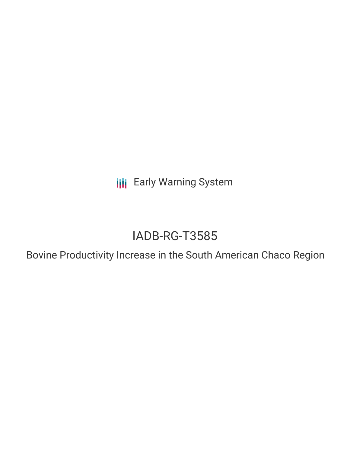**III** Early Warning System

# IADB-RG-T3585

Bovine Productivity Increase in the South American Chaco Region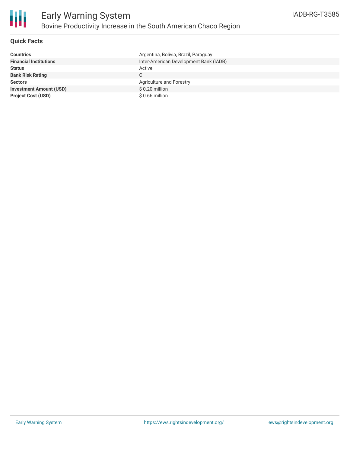

### **Quick Facts**

| <b>Countries</b>               | Argentina, Bolivia, Brazil, Paraguay   |
|--------------------------------|----------------------------------------|
| <b>Financial Institutions</b>  | Inter-American Development Bank (IADB) |
| <b>Status</b>                  | Active                                 |
| <b>Bank Risk Rating</b>        | C.                                     |
| <b>Sectors</b>                 | Agriculture and Forestry               |
| <b>Investment Amount (USD)</b> | $$0.20$ million                        |
| <b>Project Cost (USD)</b>      | $$0.66$ million                        |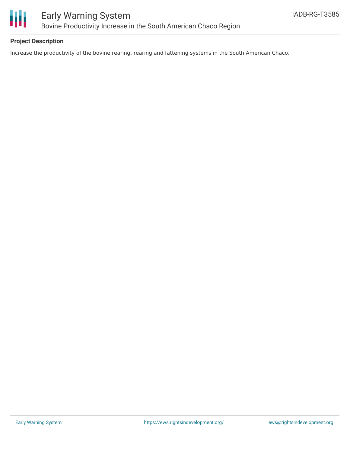

## **Project Description**

Increase the productivity of the bovine rearing, rearing and fattening systems in the South American Chaco.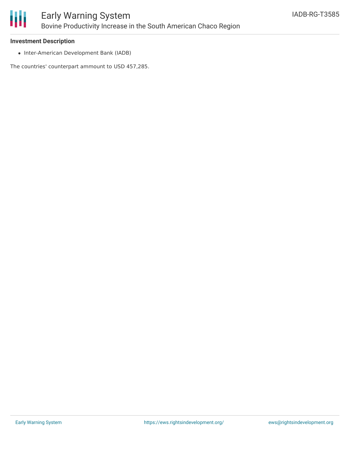

#### **Investment Description**

• Inter-American Development Bank (IADB)

The countries' counterpart ammount to USD 457,285.